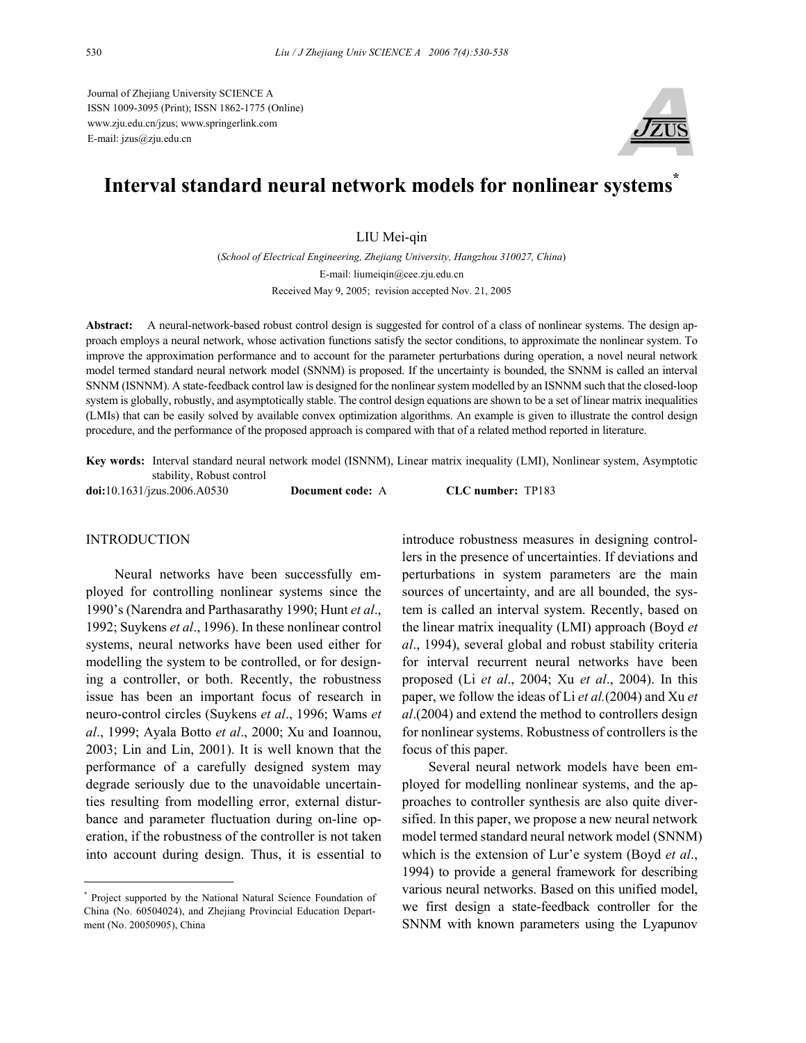Journal of Zhejiang University SCIENCE A ISSN 1009-3095 (Print); ISSN 1862-1775 (Online) www.zju.edu.cn/jzus; www.springerlink.com E-mail: jzus@zju.edu.cn



# **Interval standard neural network models for nonlinear systems\***

LIU Mei-qin

(*School of Electrical Engineering, Zhejiang University, Hangzhou 310027, China*) E-mail: liumeiqin@cee.zju.edu.cn Received May 9, 2005; revision accepted Nov. 21, 2005

**Abstract:** A neural-network-based robust control design is suggested for control of a class of nonlinear systems. The design approach employs a neural network, whose activation functions satisfy the sector conditions, to approximate the nonlinear system. To improve the approximation performance and to account for the parameter perturbations during operation, a novel neural network model termed standard neural network model (SNNM) is proposed. If the uncertainty is bounded, the SNNM is called an interval SNNM (ISNNM). A state-feedback control law is designed for the nonlinear system modelled by an ISNNM such that the closed-loop system is globally, robustly, and asymptotically stable. The control design equations are shown to be a set of linear matrix inequalities (LMIs) that can be easily solved by available convex optimization algorithms. An example is given to illustrate the control design procedure, and the performance of the proposed approach is compared with that of a related method reported in literature.

**Key words:** Interval standard neural network model (ISNNM), Linear matrix inequality (LMI), Nonlinear system, Asymptotic stability, Robust control

**doi:**10.1631/jzus.2006.A0530 **Document code:** A **CLC number:** TP183

### **INTRODUCTION**

Neural networks have been successfully employed for controlling nonlinear systems since the 1990's (Narendra and Parthasarathy 1990; Hunt *et al*., 1992; Suykens *et al*., 1996). In these nonlinear control systems, neural networks have been used either for modelling the system to be controlled, or for designing a controller, or both. Recently, the robustness issue has been an important focus of research in neuro-control circles (Suykens *et al*., 1996; Wams *et al*., 1999; Ayala Botto *et al*., 2000; Xu and Ioannou, 2003; Lin and Lin, 2001). It is well known that the performance of a carefully designed system may degrade seriously due to the unavoidable uncertainties resulting from modelling error, external disturbance and parameter fluctuation during on-line operation, if the robustness of the controller is not taken into account during design. Thus, it is essential to

introduce robustness measures in designing controllers in the presence of uncertainties. If deviations and perturbations in system parameters are the main sources of uncertainty, and are all bounded, the system is called an interval system. Recently, based on the linear matrix inequality (LMI) approach (Boyd *et al*., 1994), several global and robust stability criteria for interval recurrent neural networks have been proposed (Li *et al*., 2004; Xu *et al*., 2004). In this paper, we follow the ideas of Li *et al.*(2004) and Xu *et al*.(2004) and extend the method to controllers design for nonlinear systems. Robustness of controllers is the focus of this paper.

Several neural network models have been employed for modelling nonlinear systems, and the approaches to controller synthesis are also quite diversified. In this paper, we propose a new neural network model termed standard neural network model (SNNM) which is the extension of Lur'e system (Boyd *et al*., 1994) to provide a general framework for describing various neural networks. Based on this unified model, we first design a state-feedback controller for the SNNM with known parameters using the Lyapunov

<sup>\*</sup> Project supported by the National Natural Science Foundation of China (No. 60504024), and Zhejiang Provincial Education Department (No. 20050905), China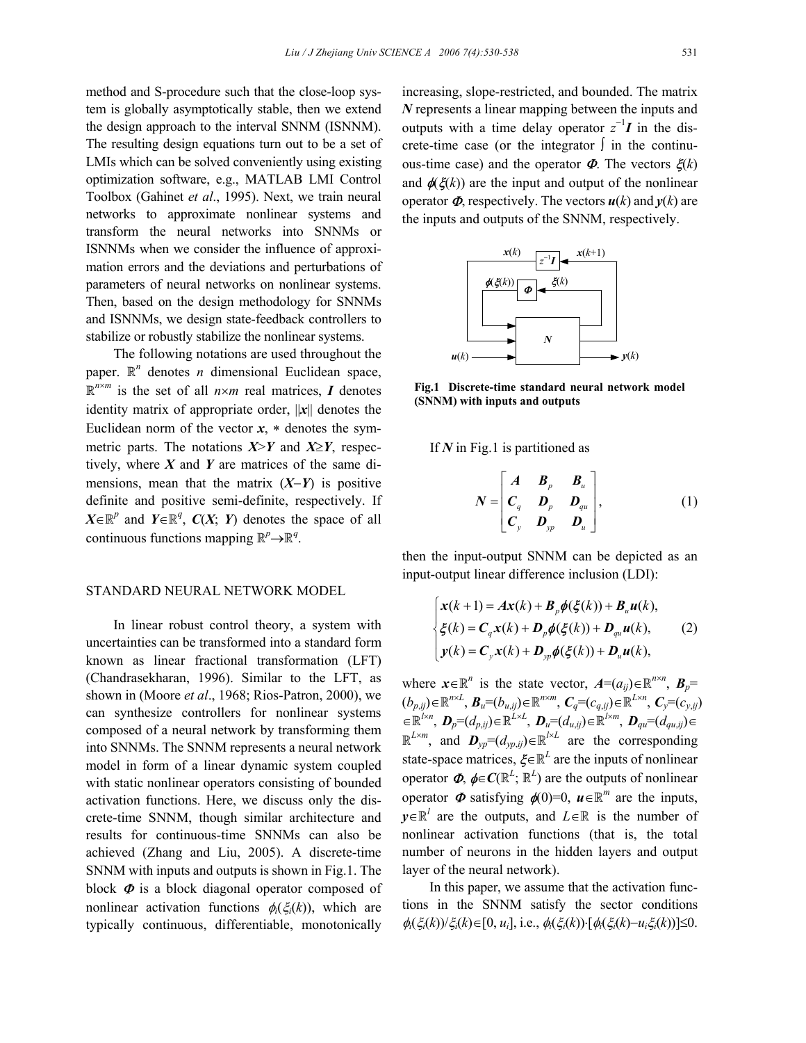method and S-procedure such that the close-loop system is globally asymptotically stable, then we extend the design approach to the interval SNNM (ISNNM). The resulting design equations turn out to be a set of LMIs which can be solved conveniently using existing optimization software, e.g., MATLAB LMI Control Toolbox (Gahinet *et al*., 1995). Next, we train neural networks to approximate nonlinear systems and transform the neural networks into SNNMs or ISNNMs when we consider the influence of approximation errors and the deviations and perturbations of parameters of neural networks on nonlinear systems. Then, based on the design methodology for SNNMs and ISNNMs, we design state-feedback controllers to stabilize or robustly stabilize the nonlinear systems.

The following notations are used throughout the paper.  $\mathbb{R}^n$  denotes *n* dimensional Euclidean space,  $\mathbb{R}^{n \times m}$  is the set of all  $n \times m$  real matrices, *I* denotes identity matrix of appropriate order, ||*x*|| denotes the Euclidean norm of the vector  $x$ ,  $*$  denotes the symmetric parts. The notations  $X > Y$  and  $X \geq Y$ , respectively, where *X* and *Y* are matrices of the same dimensions, mean that the matrix (*X*−*Y*) is positive definite and positive semi-definite, respectively. If  $X \in \mathbb{R}^p$  and  $Y \in \mathbb{R}^q$ ,  $C(X; Y)$  denotes the space of all continuous functions mapping  $\mathbb{R}^p \rightarrow \mathbb{R}^q$ .

### STANDARD NEURAL NETWORK MODEL

In linear robust control theory, a system with uncertainties can be transformed into a standard form known as linear fractional transformation (LFT) (Chandrasekharan, 1996). Similar to the LFT, as shown in (Moore *et al*., 1968; Rios-Patron, 2000), we can synthesize controllers for nonlinear systems composed of a neural network by transforming them into SNNMs. The SNNM represents a neural network model in form of a linear dynamic system coupled with static nonlinear operators consisting of bounded activation functions. Here, we discuss only the discrete-time SNNM, though similar architecture and results for continuous-time SNNMs can also be achieved (Zhang and Liu, 2005). A discrete-time SNNM with inputs and outputs is shown in Fig.1. The block  $\Phi$  is a block diagonal operator composed of nonlinear activation functions  $\phi_i(\xi_i(k))$ , which are typically continuous, differentiable, monotonically

increasing, slope-restricted, and bounded. The matrix *N* represents a linear mapping between the inputs and outputs with a time delay operator  $z^{-1}I$  in the discrete-time case (or the integrator **∫** in the continuous-time case) and the operator  $\Phi$ . The vectors  $\xi(k)$ and  $\phi(\xi(k))$  are the input and output of the nonlinear operator  $\Phi$ , respectively. The vectors  $u(k)$  and  $v(k)$  are the inputs and outputs of the SNNM, respectively.



**Fig.1 Discrete-time standard neural network model (SNNM) with inputs and outputs**

If *N* in Fig.1 is partitioned as

$$
N = \begin{bmatrix} A & B_p & B_u \\ C_q & D_p & D_{qu} \\ C_y & D_{yp} & D_u \end{bmatrix},\tag{1}
$$

then the input-output SNNM can be depicted as an input-output linear difference inclusion (LDI):

$$
\begin{cases}\n\mathbf{x}(k+1) = A\mathbf{x}(k) + B_p \phi(\xi(k)) + B_u \mathbf{u}(k), \\
\xi(k) = C_q \mathbf{x}(k) + D_p \phi(\xi(k)) + D_{qu}\mathbf{u}(k), \\
y(k) = C_y \mathbf{x}(k) + D_{yp} \phi(\xi(k)) + D_u \mathbf{u}(k),\n\end{cases}
$$
\n(2)

where  $\mathbf{x} \in \mathbb{R}^n$  is the state vector,  $A = (a_{ij}) \in \mathbb{R}^{n \times n}$ ,  $\mathbf{B}_p =$  $(b_{p,ij}) \in \mathbb{R}^{n \times L}, B_u = (b_{u,ij}) \in \mathbb{R}^{n \times m}, C_q = (c_{q,ij}) \in \mathbb{R}^{L \times n}, C_y = (c_{y,ij})$  $\in \mathbb{R}^{l \times n}$ ,  $\mathbf{D}_p = (d_{p,i,j}) \in \mathbb{R}^{L \times L}$ ,  $\mathbf{D}_u = (d_{u,ij}) \in \mathbb{R}^{l \times m}$ ,  $\mathbf{D}_{qu} = (d_{qu,ij}) \in$  $\mathbb{R}^{L \times m}$ , and  $\mathbf{D}_{yp} = (d_{yp,ij}) \in \mathbb{R}^{l \times L}$  are the corresponding state-space matrices,  $\xi \in \mathbb{R}^L$  are the inputs of nonlinear operator  $\boldsymbol{\Phi}, \boldsymbol{\phi} \in \mathcal{C}(\mathbb{R}^L; \mathbb{R}^L)$  are the outputs of nonlinear operator  $\Phi$  satisfying  $\phi(0)=0$ ,  $u \in \mathbb{R}^m$  are the inputs,  $y \in \mathbb{R}^l$  are the outputs, and *L*∈ℝ is the number of nonlinear activation functions (that is, the total number of neurons in the hidden layers and output layer of the neural network).

In this paper, we assume that the activation functions in the SNNM satisfy the sector conditions  $\phi_i(\xi_i(k))/\xi_i(k) \in [0, u_i]$ , i.e.,  $\phi_i(\xi_i(k)) \cdot [\phi_i(\xi_i(k)-u_i\xi_i(k))] \leq 0$ .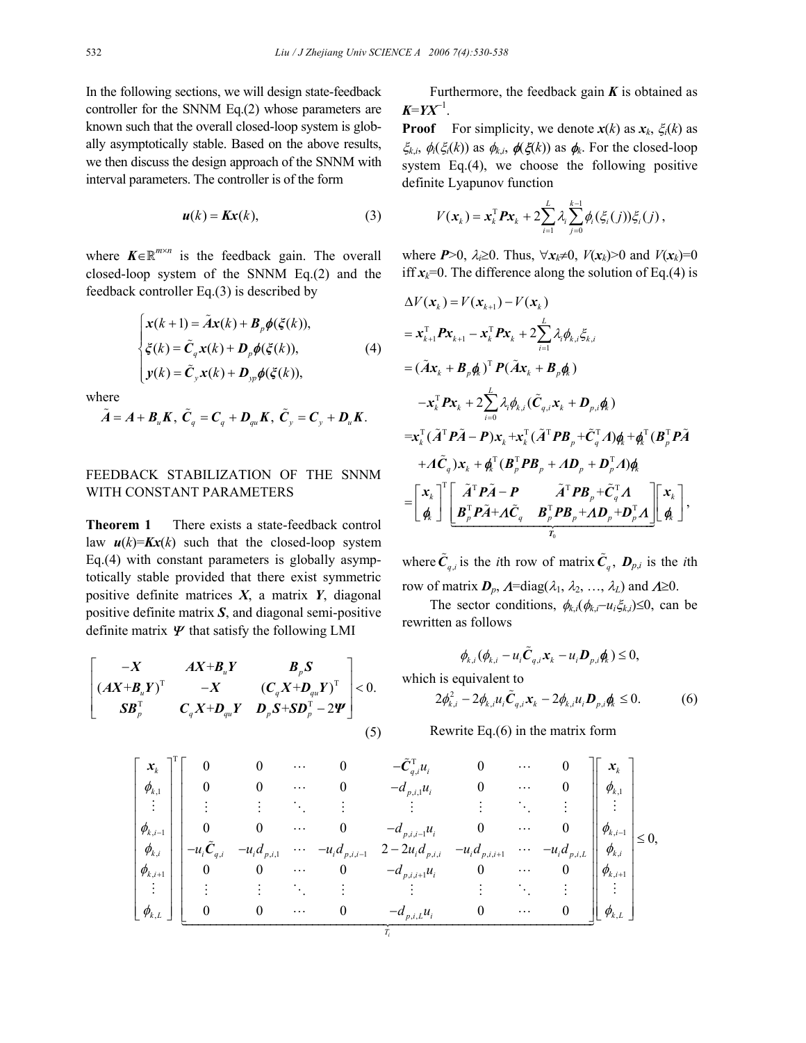In the following sections, we will design state-feedback controller for the SNNM Eq.(2) whose parameters are known such that the overall closed-loop system is globally asymptotically stable. Based on the above results, we then discuss the design approach of the SNNM with interval parameters. The controller is of the form

$$
u(k) = Kx(k), \tag{3}
$$

where  $K \in \mathbb{R}^{m \times n}$  is the feedback gain. The overall closed-loop system of the SNNM Eq.(2) and the feedback controller Eq.(3) is described by

$$
\begin{cases}\n\mathbf{x}(k+1) = \tilde{A}\mathbf{x}(k) + \mathbf{B}_p \phi(\xi(k)), \\
\xi(k) = \tilde{C}_q \mathbf{x}(k) + \mathbf{D}_p \phi(\xi(k)), \\
y(k) = \tilde{C}_y \mathbf{x}(k) + \mathbf{D}_{yp} \phi(\xi(k)),\n\end{cases}
$$
\n(4)

where

 $\tilde{A} = A + B_u K$ ,  $\tilde{C}_q = C_q + D_{qu} K$ ,  $\tilde{C}_y = C_y + D_u K$ .

### FEEDBACK STABILIZATION OF THE SNNM WITH CONSTANT PARAMETERS

**Theorem 1** There exists a state-feedback control law  $u(k)=Kx(k)$  such that the closed-loop system Eq.(4) with constant parameters is globally asymptotically stable provided that there exist symmetric positive definite matrices *X*, a matrix *Y*, diagonal positive definite matrix *S*, and diagonal semi-positive definite matrix <sup>Ψ</sup>that satisfy the following LMI

$$
\begin{bmatrix}\n-X & AX+B_uY & B_pS \\
(AX+B_uY)^T & -X & (C_qX+D_{qu}Y)^T \\
SB_p^T & C_qX+D_{qu}Y & D_pS+SD_p^T-2\Psi\n\end{bmatrix} < 0.
$$
\n(5)

Furthermore, the feedback gain  $K$  is obtained as *K*=*YX*<sup>−</sup><sup>1</sup> .

**Proof** For simplicity, we denote  $x(k)$  as  $x_k$ ,  $\xi_i(k)$  as  $\xi_{k,i}$ ,  $\phi_i(\xi_i(k))$  as  $\phi_{k,i}$ ,  $\phi(\xi(k))$  as  $\phi_k$ . For the closed-loop system Eq.(4), we choose the following positive definite Lyapunov function

$$
V(\pmb{x}_k) = \pmb{x}_k^{\mathrm{T}} \pmb{P} \pmb{x}_k + 2 \sum_{i=1}^L \lambda_i \sum_{j=0}^{k-1} \pmb{\phi}_i(\xi_i(j)) \xi_i(j),
$$

where  $P>0$ ,  $\lambda_i \geq 0$ . Thus,  $\forall x_k \neq 0$ ,  $V(x_k) > 0$  and  $V(x_k) = 0$ iff  $x_k$ =0. The difference along the solution of Eq.(4) is

$$
\Delta V(\mathbf{x}_{k}) = V(\mathbf{x}_{k+1}) - V(\mathbf{x}_{k})
$$
\n
$$
= \mathbf{x}_{k+1}^{T} \mathbf{P} \mathbf{x}_{k+1} - \mathbf{x}_{k}^{T} \mathbf{P} \mathbf{x}_{k} + 2 \sum_{i=1}^{L} \lambda_{i} \phi_{k,i} \xi_{k,i}
$$
\n
$$
= (\tilde{A} \mathbf{x}_{k} + \mathbf{B}_{p} \phi_{k})^{T} \mathbf{P} (\tilde{A} \mathbf{x}_{k} + \mathbf{B}_{p} \phi_{k})
$$
\n
$$
- \mathbf{x}_{k}^{T} \mathbf{P} \mathbf{x}_{k} + 2 \sum_{i=0}^{L} \lambda_{i} \phi_{k,i} (\tilde{C}_{q,i} \mathbf{x}_{k} + \mathbf{D}_{p,i} \phi_{k})
$$
\n
$$
= \mathbf{x}_{k}^{T} (\tilde{A}^{T} \mathbf{P} \tilde{A} - \mathbf{P}) \mathbf{x}_{k} + \mathbf{x}_{k}^{T} (\tilde{A}^{T} \mathbf{P} \mathbf{B}_{p} + \tilde{C}_{q}^{T} A) \phi_{k} + \phi_{k}^{T} (\mathbf{B}_{p}^{T} \mathbf{P} \tilde{A} + A \tilde{C}_{q}) \mathbf{x}_{k} + \phi_{k}^{T} (\mathbf{B}_{p}^{T} \mathbf{P} \mathbf{B}_{p} + A \mathbf{D}_{p} + \mathbf{D}_{p}^{T} A) \phi_{k}
$$
\n
$$
= \begin{bmatrix} \mathbf{x}_{k} \\ \mathbf{\phi}_{k} \end{bmatrix}^{T} \begin{bmatrix} \tilde{A}^{T} \mathbf{P} \tilde{A} - \mathbf{P} & \tilde{A}^{T} \mathbf{P} \mathbf{B}_{p} + \tilde{C}_{q}^{T} A \\ \mathbf{B}_{p}^{T} \mathbf{P} \tilde{A} + A \tilde{C}_{q} & \mathbf{B}_{p}^{T} \mathbf{P} \mathbf{B}_{p} + A \mathbf{D}_{p} + \mathbf{D}_{p}^{T} A \end{bmatrix} \begin{bmatrix} \mathbf{x}_{k} \\ \mathbf{\phi}_{k} \end{bmatrix},
$$

where  $\tilde{C}_{q,i}$  is the *i*th row of matrix  $\tilde{C}_q$ ,  $D_{p,i}$  is the *i*th row of matrix  $D_p$ ,  $A = \text{diag}(\lambda_1, \lambda_2, ..., \lambda_L)$  and  $A \ge 0$ .

The sector conditions,  $\phi_{k,i}(\phi_{k,i}-u_i\xi_{k,i})\leq 0$ , can be rewritten as follows

$$
\phi_{k,i}(\phi_{k,i}-u_i\tilde{\boldsymbol{C}}_{q,i}\boldsymbol{x}_k-u_i\boldsymbol{D}_{p,i}\boldsymbol{\phi}_k)\leq 0,
$$

which is equivalent to

$$
2\phi_{k,i}^2 - 2\phi_{k,i}u_i\tilde{\mathbf{C}}_{q,i}\mathbf{x}_k - 2\phi_{k,i}u_i\mathbf{D}_{p,i}\mathbf{\phi}_k \le 0.
$$
 (6)

Rewrite Eq.(6) in the matrix form

$$
\begin{bmatrix} x_{k} \\ \phi_{k,1} \\ \vdots \\ \phi_{k,i-1} \\ \phi_{k,i-1} \\ \phi_{k,i} \\ \vdots \\ \phi_{k,i+1} \\ \vdots \\ \phi_{k,i} \end{bmatrix} \begin{bmatrix} 0 & 0 & \cdots & 0 & -\tilde{C}_{q,1}^{T}u_{i} & 0 & \cdots & 0 \\ 0 & 0 & \cdots & 0 & -d_{p,i,1}u_{i} & 0 & \cdots & 0 \\ \vdots & \vdots & \ddots & \vdots & \vdots & \ddots & \vdots \\ 0 & 0 & \cdots & 0 & -d_{p,i,i-1}u_{i} & 0 & \cdots & 0 \\ -u_{i}\tilde{C}_{q,i} & -u_{i}d_{p,i,1} & \cdots & -u_{i}d_{p,i,i-1} & 2-2u_{i}d_{p,i,1} & -u_{i}d_{p,i,1+1} & \cdots & -u_{i}d_{p,i,1} \\ 0 & 0 & \cdots & 0 & -d_{p,i,i+1}u_{i} & 0 & \cdots & 0 \\ \vdots & \vdots & \vdots & \ddots & \vdots & \vdots & \ddots & \vdots \\ 0 & 0 & \cdots & 0 & -d_{p,i,L}u_{i} & 0 & \cdots & 0 \end{bmatrix} \begin{bmatrix} x_{k} \\ \phi_{k,1} \\ \phi_{k,2} \\ \vdots \\ \phi_{k,i} \\ \phi_{k,i} \end{bmatrix} \leq 0,
$$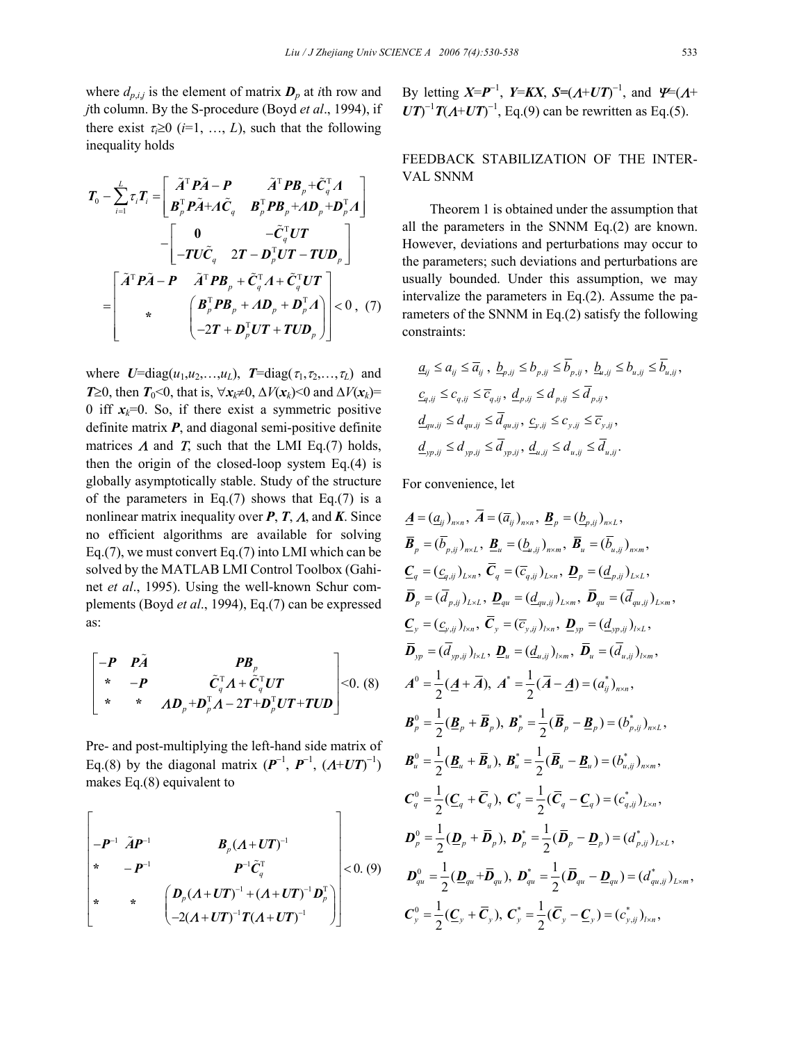where  $d_{p,i,j}$  is the element of matrix  $\boldsymbol{D}_p$  at *i*th row and *j*th column. By the S-procedure (Boyd *et al*., 1994), if there exist  $\tau_i \geq 0$  ( $i=1, ..., L$ ), such that the following inequality holds

$$
T_0 - \sum_{i=1}^{L} \tau_i T_i = \begin{bmatrix} \tilde{A}^{\mathrm{T}} P \tilde{A} - P & \tilde{A}^{\mathrm{T}} P B_p + \tilde{C}_q^{\mathrm{T}} A \\ B_p^{\mathrm{T}} P \tilde{A} + A \tilde{C}_q & B_p^{\mathrm{T}} P B_p + A D_p + D_p^{\mathrm{T}} A \end{bmatrix} - \begin{bmatrix} 0 & -\tilde{C}_q^{\mathrm{T}} U T \\ -T U \tilde{C}_q & 2T - D_p^{\mathrm{T}} U T - T U D_p \end{bmatrix}
$$

$$
= \begin{bmatrix} \tilde{A}^{\mathrm{T}} P \tilde{A} - P & \tilde{A}^{\mathrm{T}} P B_p + \tilde{C}_q^{\mathrm{T}} A + \tilde{C}_q^{\mathrm{T}} U T \\ B_p^{\mathrm{T}} P B_p + A D_p + D_p^{\mathrm{T}} A \\ -2T + D_p^{\mathrm{T}} U T + T U D_p \end{bmatrix} < 0 , (7)
$$

where  $U = \text{diag}(u_1, u_2, \ldots, u_L)$ ,  $T = \text{diag}(\tau_1, \tau_2, \ldots, \tau_L)$  and *T*≥0, then *T*<sub>0</sub><0, that is,  $\forall$ *x*<sub>*k*</sub>≠0,  $\Delta$ *V*(*x*<sub>*k*</sub>)<0 and  $\Delta$ *V*(*x*<sub>*k*</sub>)= 0 iff  $x_k=0$ . So, if there exist a symmetric positive definite matrix *P*, and diagonal semi-positive definite matrices  $\Lambda$  and  $\overline{T}$ , such that the LMI Eq.(7) holds, then the origin of the closed-loop system Eq.(4) is globally asymptotically stable. Study of the structure of the parameters in Eq.(7) shows that Eq.(7) is a nonlinear matrix inequality over *P*, *T*, Λ, and *K*. Since no efficient algorithms are available for solving Eq.(7), we must convert Eq.(7) into LMI which can be solved by the MATLAB LMI Control Toolbox (Gahinet *et al*., 1995). Using the well-known Schur complements (Boyd *et al*., 1994), Eq.(7) can be expressed as:

$$
\begin{bmatrix} -P & P\tilde{A} & PB_p \\ * & -P & \tilde{C}_q^T A + \tilde{C}_q^T UT \\ * & * & AD_p + D_p^T A - 2T + D_p^T UT + TUD \end{bmatrix} < 0. (8)
$$

Pre- and post-multiplying the left-hand side matrix of Eq.(8) by the diagonal matrix  $(\boldsymbol{P}^{-1}, \boldsymbol{P}^{-1}, (\boldsymbol{\Lambda}+ \boldsymbol{U}\boldsymbol{T})^{-1})$ makes Eq.(8) equivalent to

$$
\begin{vmatrix}\n-P^{-1} \tilde{A}P^{-1} & B_{p}(A+UT)^{-1} \\
* & -P^{-1} & P^{-1}\tilde{C}_{q}^{\mathrm{T}} \\
* & * & \left(\frac{D_{p}(A+UT)^{-1} + (A+UT)^{-1}D_{p}^{\mathrm{T}}}{-2(A+UT)^{-1}T(A+UT)^{-1}}\right)\n\end{vmatrix} < 0. (9)
$$

# By letting  $X= P^{-1}$ ,  $Y=KX$ ,  $S=(A+UT)^{-1}$ , and  $\Psi=(A+$  $UT)^{-1}T(A+UT)^{-1}$ , Eq.(9) can be rewritten as Eq.(5).

# FEEDBACK STABILIZATION OF THE INTER-VAL SNNM

Theorem 1 is obtained under the assumption that all the parameters in the SNNM Eq.(2) are known. However, deviations and perturbations may occur to the parameters; such deviations and perturbations are usually bounded. Under this assumption, we may intervalize the parameters in Eq.(2). Assume the parameters of the SNNM in Eq.(2) satisfy the following constraints:

$$
\underline{a}_{ij} \le a_{ij} \le \overline{a}_{ij}, \ \ \underline{b}_{p,ij} \le b_{p,ij} \le \overline{b}_{p,ij}, \ \ \underline{b}_{u,ij} \le b_{u,ij} \le \overline{b}_{u,ij},
$$
\n
$$
\underline{c}_{q,ij} \le c_{q,ij} \le \overline{c}_{q,ij}, \ \ \underline{d}_{p,ij} \le d_{p,ij} \le \overline{d}_{p,ij},
$$
\n
$$
\underline{d}_{qu,ij} \le d_{qu,ij} \le \overline{d}_{qu,ij}, \ \ \underline{c}_{y,ij} \le c_{y,ij} \le \overline{c}_{y,ij},
$$
\n
$$
\underline{d}_{yp,ij} \le d_{yp,ij} \le \overline{d}_{yp,ij}, \ \ \underline{d}_{u,ij} \le d_{u,ij} \le \overline{d}_{u,ij}.
$$

For convenience, let

$$
\underline{A} = (\underline{a}_{ij})_{n \times n}, \ \overline{A} = (\overline{a}_{ij})_{n \times n}, \ \underline{B}_{p} = (\underline{b}_{p,ij})_{n \times L}, \n\overline{B}_{p} = (\overline{b}_{p,ij})_{n \times L}, \ \underline{B}_{u} = (\underline{b}_{u,ij})_{n \times m}, \ \overline{B}_{u} = (\overline{b}_{u,ij})_{n \times m}, \n\underline{C}_{q} = (\underline{c}_{q,ij})_{L \times n}, \ \overline{C}_{q} = (\overline{c}_{q,ij})_{L \times n}, \ \underline{D}_{p} = (\underline{d}_{p,ij})_{L \times L}, \n\overline{D}_{p} = (\overline{d}_{p,ij})_{L \times L}, \ \underline{D}_{qu} = (\underline{d}_{qu,ij})_{L \times m}, \ \overline{D}_{qu} = (\overline{d}_{qu,ij})_{L \times m}, \n\underline{C}_{y} = (\underline{c}_{y,ij})_{l \times n}, \ \overline{C}_{y} = (\overline{c}_{y,ij})_{l \times n}, \ \underline{D}_{yp} = (\underline{d}_{yp,ij})_{l \times L}, \n\overline{D}_{yp} = (\overline{d}_{yp,ij})_{l \times L}, \ \underline{D}_{u} = (\underline{d}_{u,ij})_{l \times m}, \ \overline{D}_{u} = (\overline{d}_{u,ij})_{l \times m}, \nA^{0} = \frac{1}{2} (\underline{A} + \overline{A}), A^{*} = \frac{1}{2} (\overline{A} - \underline{A}) = (a_{ij})_{n \times n}, \nB^{0}_{p} = \frac{1}{2} (\underline{B}_{p} + \overline{B}_{p}), B^{*}_{p} = \frac{1}{2} (\overline{B}_{p} - \underline{B}_{p}) = (b^{*}_{p,ij})_{n \times L}, \nB^{0}_{u} = \frac{1}{2} (\underline{B}_{u} + \overline{B}_{u}), B^{*}_{u} = \frac{1}{2} (\overline{B}_{u} - \underline{B}_{u}) = (b^{*}_{u,ij})_{n \times n}, \nC^{0}_{q} = \frac{1}{2} (\underline{C}_{q} + \overline{C}_{q}), C^{*}_{q} = \frac{1}{2} (\overline{C}_{q} - \underline{C}_{q}) = (c^{*}_{q,ij})_{L \times
$$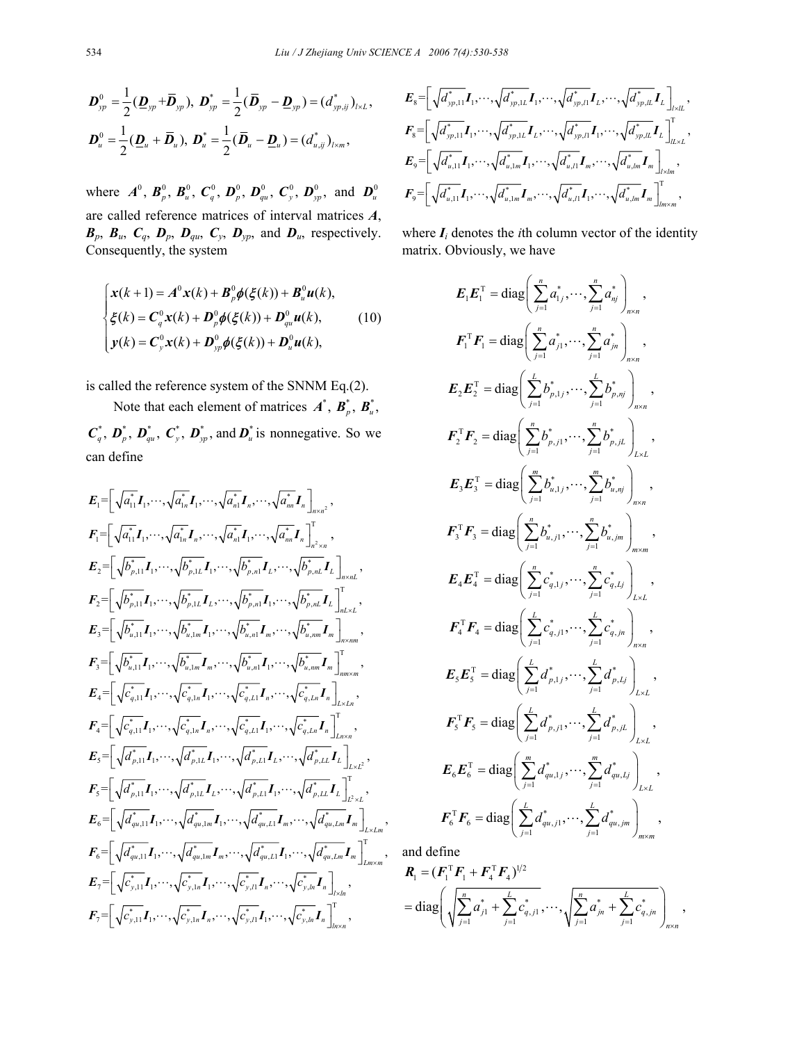$$
\mathbf{D}_{yp}^{0} = \frac{1}{2} (\mathbf{D}_{yp} + \mathbf{D}_{yp}), \ \mathbf{D}_{yp}^{*} = \frac{1}{2} (\mathbf{D}_{yp} - \mathbf{D}_{yp}) = (d_{yp,ij}^{*})_{l \times L},
$$
\n
$$
\mathbf{D}_{u}^{0} = \frac{1}{2} (\mathbf{D}_{u} + \mathbf{D}_{u}), \ \mathbf{D}_{u}^{*} = \frac{1}{2} (\mathbf{D}_{u} - \mathbf{D}_{u}) = (d_{u,ij}^{*})_{l \times m},
$$

where  $A^0$ ,  $B_p^0$ ,  $B_u^0$ ,  $C_q^0$ ,  $D_p^0$ ,  $D_{qu}^0$ ,  $C_v^0$ ,  $D_{yp}^0$ , and  $D_u^0$ are called reference matrices of interval matrices *A*,  $\mathbf{B}_p$ ,  $\mathbf{B}_u$ ,  $\mathbf{C}_q$ ,  $\mathbf{D}_p$ ,  $\mathbf{D}_{qu}$ ,  $\mathbf{C}_y$ ,  $\mathbf{D}_{yp}$ , and  $\mathbf{D}_u$ , respectively. Consequently, the system

$$
\begin{cases}\n\mathbf{x}(k+1) = A^0 \mathbf{x}(k) + \mathbf{B}_p^0 \phi(\xi(k)) + \mathbf{B}_u^0 \mathbf{u}(k), \\
\xi(k) = \mathbf{C}_q^0 \mathbf{x}(k) + \mathbf{D}_p^0 \phi(\xi(k)) + \mathbf{D}_{qu}^0 \mathbf{u}(k), \\
\mathbf{y}(k) = \mathbf{C}_y^0 \mathbf{x}(k) + \mathbf{D}_{yp}^0 \phi(\xi(k)) + \mathbf{D}_u^0 \mathbf{u}(k),\n\end{cases}
$$
\n(10)

is called the reference system of the SNNM Eq.(2).

Note that each element of matrices  $\boldsymbol{A}^*, \boldsymbol{B}_p^*, \boldsymbol{B}_u^*$ ,  $C_q^*$ ,  $\boldsymbol{D}_p^*$ ,  $\boldsymbol{D}_{qu}^*$ ,  $\boldsymbol{C}_y^*$ ,  $\boldsymbol{D}_{yp}^*$ , and  $\boldsymbol{D}_u^*$  is nonnegative. So we can define

$$
E_{1} = \left[\sqrt{a_{11}^{*}}I_{1}, \cdots, \sqrt{a_{1n}^{*}}I_{1}, \cdots, \sqrt{a_{n1}^{*}}I_{n}, \cdots, \sqrt{a_{nn}^{*}}I_{n}\right]_{n \times n^{2}},
$$
\n
$$
F_{1} = \left[\sqrt{a_{11}^{*}}I_{1}, \cdots, \sqrt{a_{1n}^{*}}I_{n}, \cdots, \sqrt{a_{n1}^{*}}I_{1}, \cdots, \sqrt{a_{nn}^{*}}I_{n}\right]_{n \times n^{2}},
$$
\n
$$
E_{2} = \left[\sqrt{b_{p,11}^{*}}I_{1}, \cdots, \sqrt{b_{p,1L}^{*}}I_{1}, \cdots, \sqrt{b_{p,n1}^{*}}I_{L}, \cdots, \sqrt{b_{p,nL}^{*}}I_{L}\right]_{n \times n^{2}},
$$
\n
$$
F_{2} = \left[\sqrt{b_{p,11}^{*}}I_{1}, \cdots, \sqrt{b_{p,1L}^{*}}I_{L}, \cdots, \sqrt{b_{p,n1}^{*}}I_{1}, \cdots, \sqrt{b_{p,nL}^{*}}I_{L}\right]_{n \times n^{2}},
$$
\n
$$
E_{3} = \left[\sqrt{b_{n,11}^{*}}I_{1}, \cdots, \sqrt{b_{n,1m}^{*}}I_{1}, \cdots, \sqrt{b_{n,n1}^{*}}I_{n}, \cdots, \sqrt{b_{n,m1}^{*}}I_{m}\right]_{n \times m^{2}},
$$
\n
$$
F_{3} = \left[\sqrt{b_{n,11}^{*}}I_{1}, \cdots, \sqrt{b_{n,1m}^{*}}I_{n}, \cdots, \sqrt{b_{n,n1}^{*}}I_{1}, \cdots, \sqrt{b_{n,m1}^{*}}I_{m}\right]_{n \times m^{2}},
$$
\n
$$
E_{4} = \left[\sqrt{c_{n,11}^{*}}I_{1}, \cdots, \sqrt{c_{n,1n}^{*}}I_{n}, \cdots, \sqrt{c_{n,L1}^{*}}I_{1}, \cdots, \sqrt{c_{n,Ln}^{*}}I_{n}\right]_{L \times L^{n}},
$$
\n
$$
F_{4} = \left[\sqrt{c_{n,11}^{*}}I_{1}, \cdots, \sqrt{c_{n,1n}
$$

$$
E_{8} = \left[\sqrt{d_{yp,11}^{*}}I_{1}, \cdots, \sqrt{d_{yp,1L}^{*}}I_{1}, \cdots, \sqrt{d_{yp,11}^{*}}I_{L}, \cdots, \sqrt{d_{yp,L}^{*}}I_{L}\right]_{l \times L},
$$
  
\n
$$
F_{8} = \left[\sqrt{d_{yp,11}^{*}}I_{1}, \cdots, \sqrt{d_{yp,1L}^{*}}I_{L}, \cdots, \sqrt{d_{yp,11}^{*}}I_{1}, \cdots, \sqrt{d_{yp,L}^{*}}I_{L}\right]_{l \times L}^{T},
$$
  
\n
$$
E_{9} = \left[\sqrt{d_{u,11}^{*}}I_{1}, \cdots, \sqrt{d_{u,1m}^{*}}I_{1}, \cdots, \sqrt{d_{u,11}^{*}}I_{m}, \cdots, \sqrt{d_{u,1m}^{*}}I_{m}\right]_{l \times l m},
$$
  
\n
$$
F_{9} = \left[\sqrt{d_{u,11}^{*}}I_{1}, \cdots, \sqrt{d_{u,1m}^{*}}I_{m}, \cdots, \sqrt{d_{u,11}^{*}}I_{1}, \cdots, \sqrt{d_{u,m}^{*}}I_{m}\right]_{l \times m}^{T},
$$

where  $I_i$  denotes the *i*th column vector of the identity matrix. Obviously, we have

$$
E_{1}E_{1}^{T} = \text{diag}\left(\sum_{j=1}^{n} a_{1j}^{*}, \dots, \sum_{j=1}^{n} a_{nj}^{*}\right)_{n \times n},
$$
\n
$$
F_{1}^{T}F_{1} = \text{diag}\left(\sum_{j=1}^{n} a_{j1}^{*}, \dots, \sum_{j=1}^{n} a_{jn}^{*}\right)_{n \times n},
$$
\n
$$
E_{2}E_{2}^{T} = \text{diag}\left(\sum_{j=1}^{L} b_{p,1j}^{*}, \dots, \sum_{j=1}^{L} b_{p,nj}^{*}\right)_{n \times n},
$$
\n
$$
F_{2}^{T}F_{2} = \text{diag}\left(\sum_{j=1}^{n} b_{p,j1}^{*}, \dots, \sum_{j=1}^{n} b_{p,jL}^{*}\right)_{L \times L},
$$
\n
$$
E_{3}E_{3}^{T} = \text{diag}\left(\sum_{j=1}^{m} b_{u,j1}^{*}, \dots, \sum_{j=1}^{m} b_{u,jn}^{*}\right)_{n \times n},
$$
\n
$$
F_{3}^{T}F_{3} = \text{diag}\left(\sum_{j=1}^{n} b_{u,j1}^{*}, \dots, \sum_{j=1}^{n} b_{u,jm}^{*}\right)_{m \times n},
$$
\n
$$
E_{4}E_{4}^{T} = \text{diag}\left(\sum_{j=1}^{n} c_{q,1j}^{*}, \dots, \sum_{j=1}^{n} c_{q,1j}^{*}\right)_{L \times L},
$$
\n
$$
F_{4}^{T}F_{4} = \text{diag}\left(\sum_{j=1}^{L} c_{q,j1}^{*}, \dots, \sum_{j=1}^{L} c_{q,jm}^{*}\right)_{L \times L},
$$
\n
$$
F_{5}^{T}F_{5} = \text{diag}\left(\sum_{j=1}^{L} d_{p,1j}^{*}, \dots, \sum_{j=1}^{L} d_{p,Lj}^{*}\right)_{L \times L},
$$
\n
$$
E_{6}E_{6}^{T} = \text{diag}\left(\sum_{j=1}^{m} d_{qu,j1}^{*}, \dots, \sum_{j=1}^{m} d_{qu,Lj}^{*}\right)_{L \times L},
$$

and define

$$
\mathbf{R}_{1} = (\mathbf{F}_{1}^{T} \mathbf{F}_{1} + \mathbf{F}_{4}^{T} \mathbf{F}_{4})^{1/2}
$$
  
= diag  $\left( \sqrt{\sum_{j=1}^{n} a_{j1}^{*} + \sum_{j=1}^{L} c_{q,j1}^{*}}, \cdots, \sqrt{\sum_{j=1}^{n} a_{jn}^{*} + \sum_{j=1}^{L} c_{q,jn}^{*}} \right)_{n \times n}$ ,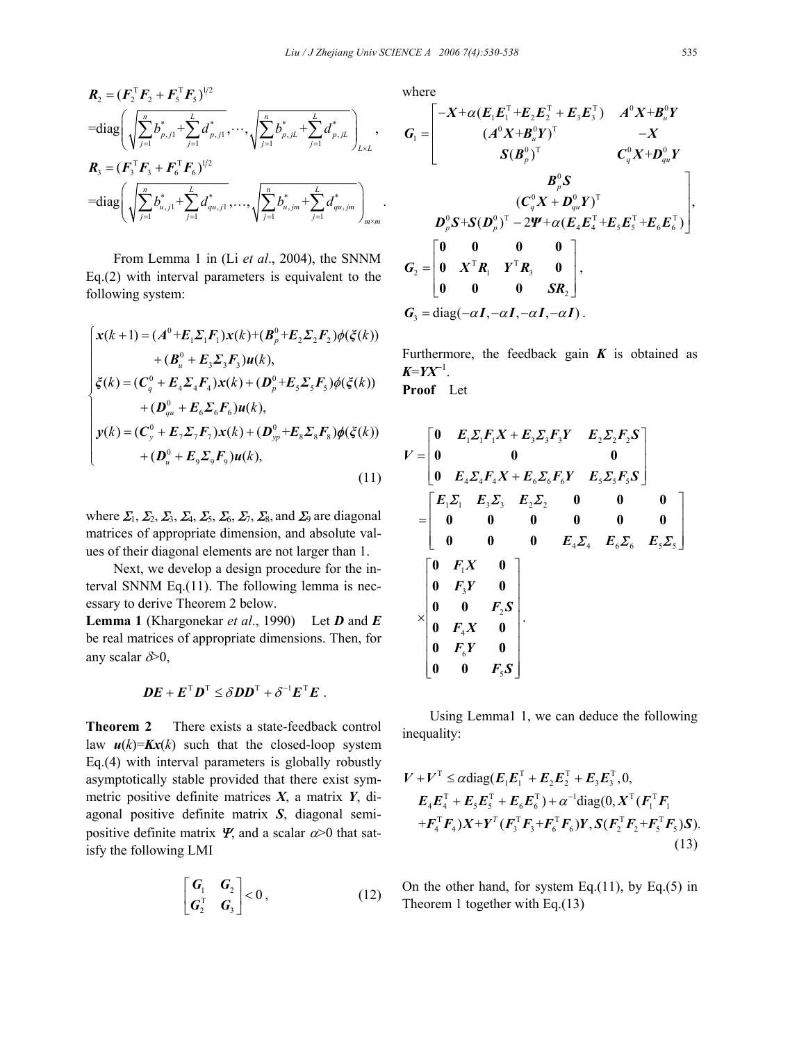$$
R_{2} = (F_{2}^{T}F_{2} + F_{5}^{T}F_{5})^{1/2}
$$
  
=diag $\left(\sqrt{\sum_{j=1}^{n} b_{p,j1}^{*} + \sum_{j=1}^{L} d_{p,j1}^{*}}, \cdots, \sqrt{\sum_{j=1}^{n} b_{p,jL}^{*} + \sum_{j=1}^{L} d_{p,jL}^{*}}\right)_{L \times L}$ ,  

$$
R_{3} = (F_{3}^{T}F_{3} + F_{6}^{T}F_{6})^{1/2}
$$
  
=diag $\left(\sqrt{\sum_{j=1}^{n} b_{u,j1}^{*} + \sum_{j=1}^{L} d_{qu,j1}^{*}}, \cdots, \sqrt{\sum_{j=1}^{n} b_{u,jm}^{*} + \sum_{j=1}^{L} d_{qu,jm}^{*}}\right)_{m \times m}$ .

From Lemma 1 in (Li *et al*., 2004), the SNNM Eq.(2) with interval parameters is equivalent to the following system:

$$
\begin{cases}\n\mathbf{x}(k+1) = (A^0 + E_1 \Sigma_1 F_1) \mathbf{x}(k) + (B_p^0 + E_2 \Sigma_2 F_2) \phi(\xi(k)) \\
+ (B_u^0 + E_3 \Sigma_3 F_3) \mathbf{u}(k), \\
\xi(k) = (C_q^0 + E_4 \Sigma_4 F_4) \mathbf{x}(k) + (D_p^0 + E_5 \Sigma_5 F_5) \phi(\xi(k)) \\
+ (D_{qu}^0 + E_6 \Sigma_6 F_6) \mathbf{u}(k), \\
\mathbf{y}(k) = (C_y^0 + E_7 \Sigma_7 F_7) \mathbf{x}(k) + (D_{yp}^0 + E_8 \Sigma_8 F_8) \phi(\xi(k)) \\
+ (D_u^0 + E_9 \Sigma_9 F_9) \mathbf{u}(k),\n\end{cases}
$$
\n(11)

where  $\Sigma_1$ ,  $\Sigma_2$ ,  $\Sigma_3$ ,  $\Sigma_4$ ,  $\Sigma_5$ ,  $\Sigma_6$ ,  $\Sigma_7$ ,  $\Sigma_8$ , and  $\Sigma_9$  are diagonal matrices of appropriate dimension, and absolute values of their diagonal elements are not larger than 1.

Next, we develop a design procedure for the interval SNNM Eq.(11). The following lemma is necessary to derive Theorem 2 below.

**Lemma 1** (Khargonekar *et al*., 1990) Let *D* and *E* be real matrices of appropriate dimensions. Then, for any scalar  $\delta$  >0,

$$
DE + ET DT \leq \delta D DT + \delta-1 ET E.
$$

**Theorem 2** There exists a state-feedback control law  $u(k)=Kx(k)$  such that the closed-loop system Eq.(4) with interval parameters is globally robustly asymptotically stable provided that there exist symmetric positive definite matrices *X*, a matrix *Y*, diagonal positive definite matrix *S*, diagonal semipositive definite matrix  $\Psi$ , and a scalar  $\alpha$  >0 that satisfy the following LMI

$$
\begin{bmatrix} \mathbf{G}_1 & \mathbf{G}_2 \\ \mathbf{G}_2^{\mathrm{T}} & \mathbf{G}_3 \end{bmatrix} < 0 , \qquad (12)
$$

where

$$
G_{1} = \begin{bmatrix} -X + \alpha (E_{1}E_{1}^{T} + E_{2}E_{2}^{T} + E_{3}E_{3}^{T}) & A^{0}X + B_{u}^{0}Y \\ (A^{0}X + B_{u}^{0}Y)^{T} & -X \\ S(B_{p}^{0})^{T} & C_{q}^{0}X + D_{qu}^{0}Y \\ D_{p}^{0}S + S(D_{p}^{0})^{T} - 2\Psi + \alpha (E_{4}E_{4}^{T} + E_{5}E_{5}^{T} + E_{6}E_{6}^{T}) \end{bmatrix},
$$
  
\n
$$
G_{2} = \begin{bmatrix} 0 & 0 & 0 & 0 \\ 0 & X^{T}R_{1} & Y^{T}R_{3} & 0 \\ 0 & 0 & 0 & SR_{2} \end{bmatrix},
$$
  
\n
$$
G_{3} = \text{diag}(-\alpha I, -\alpha I, -\alpha I, -\alpha I).
$$

Furthermore, the feedback gain  $K$  is obtained as *K*=*YX*<sup>−1</sup>. **Proof** Let

$$
V = \begin{bmatrix} 0 & E_1 \Sigma_1 F_1 X + E_3 \Sigma_3 F_3 Y & E_2 \Sigma_2 F_2 S \\ 0 & 0 & 0 & 0 \\ 0 & E_4 \Sigma_4 F_4 X + E_6 \Sigma_6 F_6 Y & E_5 \Sigma_5 F_5 S \end{bmatrix}
$$
  
= 
$$
\begin{bmatrix} E_1 \Sigma_1 & E_3 \Sigma_3 & E_2 \Sigma_2 & 0 & 0 & 0 \\ 0 & 0 & 0 & 0 & 0 & 0 \\ 0 & 0 & 0 & E_4 \Sigma_4 & E_6 \Sigma_6 & E_5 \Sigma_5 \end{bmatrix}
$$
  
= 
$$
\begin{bmatrix} 0 & F_1 X & 0 \\ 0 & F_3 Y & 0 \\ 0 & F_6 Y & 0 \\ 0 & 0 & F_5 S \end{bmatrix}
$$

Using Lemma1 1, we can deduce the following inequality:

$$
V + V^{T} \leq \alpha \text{diag}(\boldsymbol{E}_{1}\boldsymbol{E}_{1}^{T} + \boldsymbol{E}_{2}\boldsymbol{E}_{2}^{T} + \boldsymbol{E}_{3}\boldsymbol{E}_{3}^{T}, 0, \n\boldsymbol{E}_{4}\boldsymbol{E}_{4}^{T} + \boldsymbol{E}_{5}\boldsymbol{E}_{5}^{T} + \boldsymbol{E}_{6}\boldsymbol{E}_{6}^{T}) + \alpha^{-1} \text{diag}(0, \boldsymbol{X}^{T}(\boldsymbol{F}_{1}^{T}\boldsymbol{F}_{1} \n+ \boldsymbol{F}_{4}^{T}\boldsymbol{F}_{4})\boldsymbol{X} + \boldsymbol{Y}^{T}(\boldsymbol{F}_{3}^{T}\boldsymbol{F}_{3} + \boldsymbol{F}_{6}^{T}\boldsymbol{F}_{6})\boldsymbol{Y}, \boldsymbol{S}(\boldsymbol{F}_{2}^{T}\boldsymbol{F}_{2} + \boldsymbol{F}_{5}^{T}\boldsymbol{F}_{5})\boldsymbol{S}).
$$
\n(13)

On the other hand, for system Eq.(11), by Eq.(5) in Theorem 1 together with Eq.(13)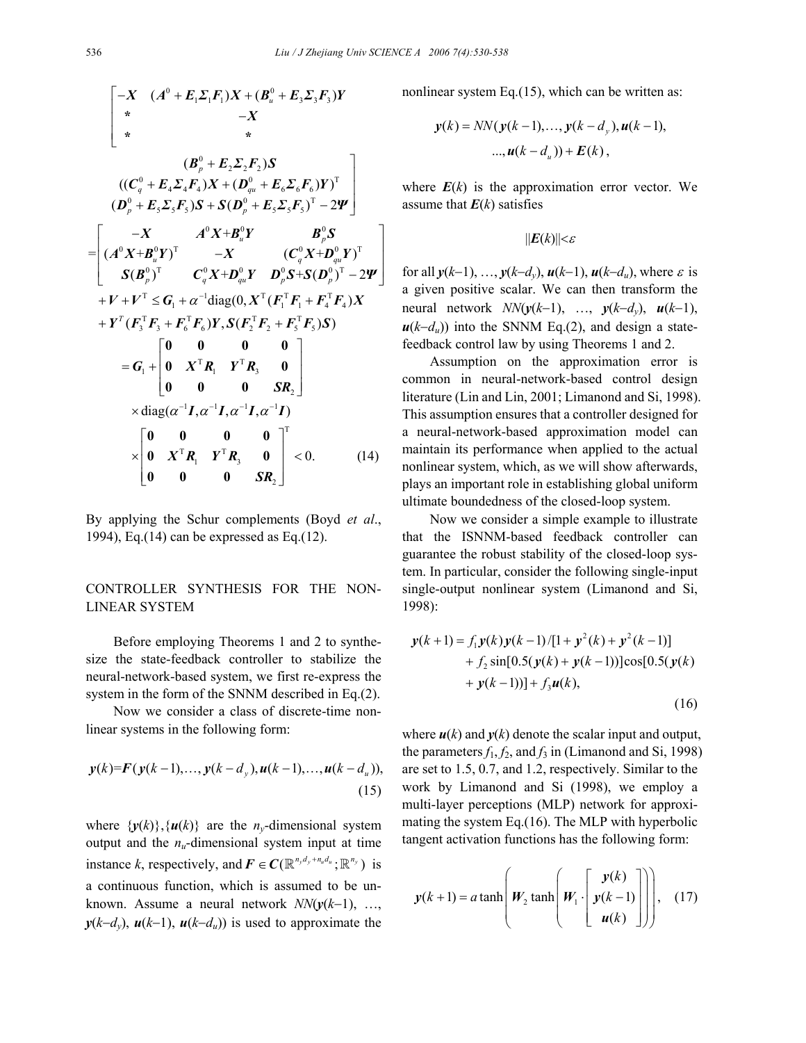$$
\begin{bmatrix}\n-X & (A^0 + E_1 \Sigma_1 F_1)X + (B_u^0 + E_3 \Sigma_3 F_3)Y \\
X & -X & \\
X & X & \\
\end{bmatrix}
$$
\n
$$
\begin{bmatrix}\n(B_p^0 + E_2 \Sigma_2 F_2)S \\
(C_q^0 + E_4 \Sigma_4 F_4)X + (D_{qu}^0 + E_6 \Sigma_6 F_6)Y)^T \\
(D_p^0 + E_5 \Sigma_5 F_5)S + S(D_p^0 + E_5 \Sigma_5 F_5)^T - 2\Psi\n\end{bmatrix}
$$
\n
$$
= \begin{bmatrix}\n-X & A^0 X + B_u^0 Y & B_p^0 S \\
(A^0 X + B_u^0 Y)^T & -X & (C_q^0 X + D_{qu}^0 Y)^T \\
S(B_p^0)^T & C_q^0 X + D_{qu}^0 Y & D_p^0 S + S(D_p^0)^T - 2\Psi\n\end{bmatrix}
$$
\n
$$
+ V + V^T \le G_1 + \alpha^{-1} \text{diag}(0, X^T (F_1^T F_1 + F_4^T F_4)X + Y^T (F_3^T F_3 + F_6^T F_6)Y, S(F_2^T F_2 + F_5^T F_5)S)
$$
\n
$$
= G_1 + \begin{bmatrix}\n0 & 0 & 0 & 0 \\
0 & X^T R_1 & Y^T R_3 & 0 \\
0 & 0 & 0 & S R_2\n\end{bmatrix}
$$
\n
$$
\times \text{diag}(\alpha^{-1} I, \alpha^{-1} I, \alpha^{-1} I, \alpha^{-1} I) \times \begin{bmatrix}\n0 & 0 & 0 & 0 \\
0 & X^T R_1 & Y^T R_3 & 0 \\
0 & 0 & 0 & S R_2\n\end{bmatrix} < 0.
$$
\n(14)

By applying the Schur complements (Boyd *et al*., 1994), Eq.(14) can be expressed as Eq.(12).

## CONTROLLER SYNTHESIS FOR THE NON-LINEAR SYSTEM

Before employing Theorems 1 and 2 to synthesize the state-feedback controller to stabilize the neural-network-based system, we first re-express the system in the form of the SNNM described in Eq.(2).

Now we consider a class of discrete-time nonlinear systems in the following form:

$$
y(k)=F(y(k-1),...,y(k-d_y),u(k-1),...,u(k-d_u)),
$$
\n(15)

where  $\{y(k)\}\$ ,  $\{u(k)\}\$  are the *n<sub>v</sub>*-dimensional system output and the  $n<sub>u</sub>$ -dimensional system input at time instance *k*, respectively, and  $\mathbf{F} \in \mathbf{C}(\mathbb{R}^{n_y d_y + n_u d_u}, \mathbb{R}^{n_y})$  is a continuous function, which is assumed to be unknown. Assume a neural network *NN*(*y*(*k*−1), …,  $y(k-d<sub>v</sub>)$ ,  $u(k-1)$ ,  $u(k-d<sub>u</sub>)$ ) is used to approximate the nonlinear system Eq.(15), which can be written as:

$$
y(k) = NN(y(k-1),..., y(k-d_y), u(k-1),
$$
  
...,  $u(k-d_u)) + E(k)$ ,

where  $E(k)$  is the approximation error vector. We assume that  $E(k)$  satisfies

$$
\|\bm{E}(k)\|\!\!<\!\!\varepsilon
$$

for all  $y(k-1), \ldots, y(k-d_v), u(k-1), u(k-d_u),$  where  $\varepsilon$  is a given positive scalar. We can then transform the neural network *NN*(*y*(*k*−1), …, *y*(*k*−*dy*), *u*(*k*−1),  $u(k-d_u)$ ) into the SNNM Eq.(2), and design a statefeedback control law by using Theorems 1 and 2.

Assumption on the approximation error is common in neural-network-based control design literature (Lin and Lin, 2001; Limanond and Si, 1998). This assumption ensures that a controller designed for a neural-network-based approximation model can maintain its performance when applied to the actual nonlinear system, which, as we will show afterwards, plays an important role in establishing global uniform ultimate boundedness of the closed-loop system.

Now we consider a simple example to illustrate that the ISNNM-based feedback controller can guarantee the robust stability of the closed-loop system. In particular, consider the following single-input single-output nonlinear system (Limanond and Si, 1998):

$$
y(k+1) = f_1 y(k) y(k-1) / [1 + y^2(k) + y^2(k-1)]
$$
  
+  $f_2 \sin[0.5(y(k) + y(k-1))] \cos[0.5(y(k) + y(k-1))] + f_3 u(k),$   
+  $y(k-1) + f_3 u(k),$  (16)

where  $u(k)$  and  $y(k)$  denote the scalar input and output, the parameters  $f_1$ ,  $f_2$ , and  $f_3$  in (Limanond and Si, 1998) are set to 1.5, 0.7, and 1.2, respectively. Similar to the work by Limanond and Si (1998), we employ a multi-layer perceptions (MLP) network for approximating the system Eq.(16). The MLP with hyperbolic tangent activation functions has the following form:

$$
y(k+1) = a \tanh\left(W_2 \tanh\left(W_1 \cdot \begin{bmatrix} y(k) \\ y(k-1) \\ u(k) \end{bmatrix}\right)\right), (17)
$$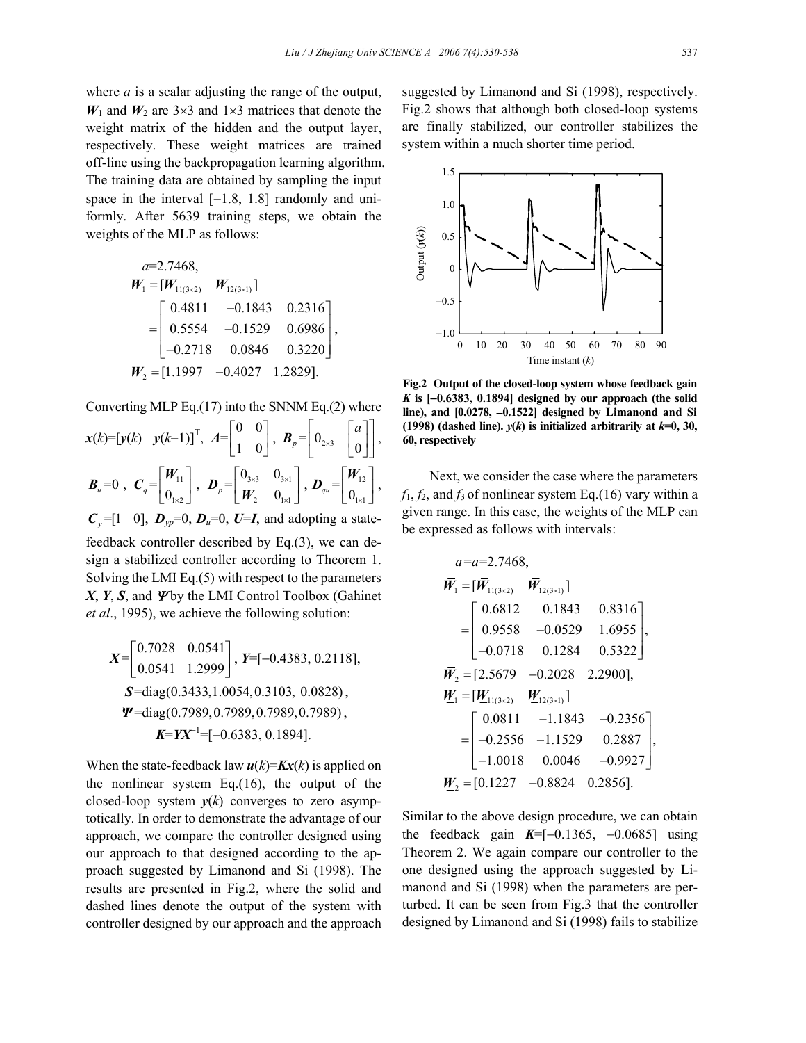where *a* is a scalar adjusting the range of the output,  $W_1$  and  $W_2$  are 3×3 and 1×3 matrices that denote the weight matrix of the hidden and the output layer, respectively. These weight matrices are trained off-line using the backpropagation learning algorithm. The training data are obtained by sampling the input space in the interval [−1.8, 1.8] randomly and uniformly. After 5639 training steps, we obtain the weights of the MLP as follows:

$$
a=2.7468,
$$
  
\n
$$
W_1 = [W_{11(3\times2)} \quad W_{12(3\times1)}]
$$
  
\n
$$
= \begin{bmatrix} 0.4811 & -0.1843 & 0.2316 \\ 0.5554 & -0.1529 & 0.6986 \\ -0.2718 & 0.0846 & 0.3220 \end{bmatrix},
$$
  
\n
$$
W_2 = [1.1997 \quad -0.4027 \quad 1.2829].
$$

Converting MLP Eq.(17) into the SNNM Eq.(2) where

 $\mathbf{x}(k)=[\mathbf{y}(k) \quad \mathbf{y}(k-1)]^{\mathrm{T}}, \quad \mathbf{A}=\begin{bmatrix} 0 & 0 \\ 1 & 0 \end{bmatrix}$  $A = \begin{bmatrix} 0 & 0 \\ 1 & 0 \end{bmatrix}, B_p = \begin{bmatrix} 0 & 0 \\ 0 & 0 \end{bmatrix}$ ×  $\boldsymbol{B}_p = \begin{bmatrix} 0 & a \\ 0 & a \end{bmatrix},$  $\bm{B}_u = 0$ ,  $\bm{C}_q = \begin{bmatrix} \bm{v}_{11} \\ 0_{1 \times 2} \end{bmatrix}$  $\mid \textbf{\textit{W}}_{\text{\tiny{11}}} \mid$  $\begin{bmatrix} 0 \\ 0 \\ 0 \end{bmatrix}$  $C_{a} = \begin{bmatrix} W_{11} \\ 0 \end{bmatrix}, D_{n} = \begin{bmatrix} 0_{3\times3} & 0_{3\times1} \\ 0_{3\times2} & 0_{3\times2} \end{bmatrix}$  $\boldsymbol{p} = \begin{bmatrix} \mathbf{0}_{3 \times 3} & \mathbf{0}_{3 \times 1} \\ \mathbf{W}_2 & \mathbf{0}_{1 \times 1} \end{bmatrix}$ ×  $\begin{vmatrix} 0_{3\times 3} & 0_{3\times 1} \end{vmatrix}$  $\bm{D}_p = \begin{bmatrix} \bm{v}_{3\times 3} & \bm{v}_{3\times 1} \\ \bm{W}_2 & 0_{1\times 1} \end{bmatrix}$ ,  $\bm{D}_{qu} = \begin{bmatrix} \bm{v}_{12} \\ 0_{1\times 1} \end{bmatrix}$  $\mid W_{12} \mid$  $\begin{bmatrix} 0 \\ 0 \\ 0 \end{bmatrix}$  $\boldsymbol{D}_{\scriptscriptstyle{ou}} = \begin{bmatrix} \boldsymbol{W}_{12} \\ \vdots \end{bmatrix},$  $C_v$ =[1 0],  $D_{vp}$ =0,  $D_u$ =0,  $U=I$ , and adopting a statefeedback controller described by Eq.(3), we can design a stabilized controller according to Theorem 1. Solving the LMI Eq.(5) with respect to the parameters *X*, *Y*, *S*, and Ψ by the LMI Control Toolbox (Gahinet *et al*., 1995), we achieve the following solution:

$$
X = \begin{bmatrix} 0.7028 & 0.0541 \\ 0.0541 & 1.2999 \end{bmatrix}, Y = [-0.4383, 0.2118],
$$
  
\n
$$
S = diag(0.3433, 1.0054, 0.3103, 0.0828),
$$
  
\n
$$
\Psi = diag(0.7989, 0.7989, 0.7989, 0.7989),
$$
  
\n
$$
K = YX^{-1} = [-0.6383, 0.1894].
$$

When the state-feedback law  $u(k)=Kx(k)$  is applied on the nonlinear system Eq.(16), the output of the closed-loop system  $y(k)$  converges to zero asymptotically. In order to demonstrate the advantage of our approach, we compare the controller designed using our approach to that designed according to the approach suggested by Limanond and Si (1998). The results are presented in Fig.2, where the solid and dashed lines denote the output of the system with controller designed by our approach and the approach

suggested by Limanond and Si (1998), respectively. Fig.2 shows that although both closed-loop systems are finally stabilized, our controller stabilizes the system within a much shorter time period.



**Fig.2 Output of the closed-loop system whose feedback gain**  *K* **is [**−**0.6383, 0.1894] designed by our approach (the solid line), and [0.0278,** −**0.1522] designed by Limanond and Si (1998) (dashed line).** *y***(***k***) is initialized arbitrarily at** *k***=0, 30, 60, respectively**

Next, we consider the case where the parameters  $f_1, f_2$ , and  $f_3$  of nonlinear system Eq.(16) vary within a given range. In this case, the weights of the MLP can be expressed as follows with intervals:

$$
\overline{a}=\underline{a}=2.7468,
$$
\n
$$
\overline{W}_1 = [\overline{W}_{11(3\times2)} \quad \overline{W}_{12(3\times1)}]
$$
\n
$$
= \begin{bmatrix}\n0.6812 & 0.1843 & 0.8316 \\
0.9558 & -0.0529 & 1.6955 \\
-0.0718 & 0.1284 & 0.5322\n\end{bmatrix},
$$
\n
$$
\overline{W}_2 = [2.5679 \quad -0.2028 \quad 2.2900],
$$
\n
$$
\underline{W}_1 = [\underline{W}_{11(3\times2)} \quad \underline{W}_{12(3\times1)}]
$$
\n
$$
= \begin{bmatrix}\n0.0811 & -1.1843 & -0.2356 \\
-0.2556 & -1.1529 & 0.2887 \\
-1.0018 & 0.0046 & -0.9927\n\end{bmatrix},
$$
\n
$$
\underline{W}_2 = [0.1227 \quad -0.8824 \quad 0.2856].
$$

Similar to the above design procedure, we can obtain the feedback gain *K*=[−0.1365, −0.0685] using Theorem 2. We again compare our controller to the one designed using the approach suggested by Limanond and Si (1998) when the parameters are perturbed. It can be seen from Fig.3 that the controller designed by Limanond and Si (1998) fails to stabilize